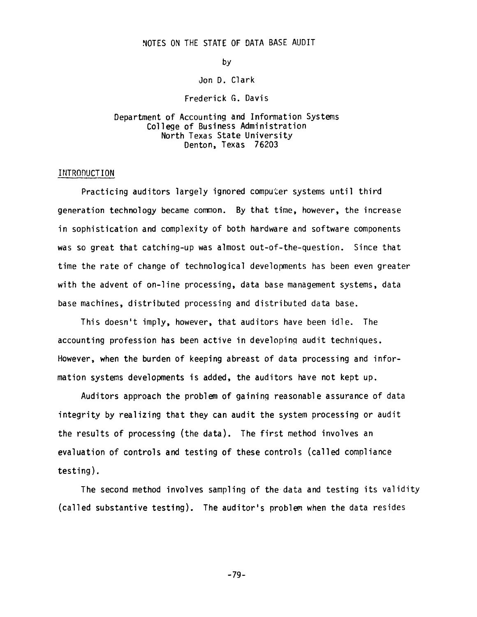## NOTES ON THE STATE OF DATA BASE AUDIT

by

#### Jon D. Clark

#### Frederick G. Davis

## Department of Accounting and Information Systems College of Business Administration North Texas State University Denton, Texas 76203

## INTRODUCTION

Practicing auditors largely ignored computer systems until third generation technology became common. By that time, however, the increase in sophistication and complexity of both hardware and software components was so great that catching-up was almost out-of-the-question. Since that time the rate of change of technological developments has been even greater with the advent of on-line processing, data base management systems, data base machines, distributed processing and distributed data base.

This doesn't imply, however, that auditors have been idle. The accounting profession has been active in developing audit techniques. However, when the burden of keeping abreast of data processing and information systems developments is added, the auditors have not kept up.

Auditors approach the problem of gaining reasonable assurance of data integrity by realizing that they can audit the system processing or audit the results of processing (the data). The first method involves an evaluation of controls and testing of these controls (called compliance testing).

The second method involves sampling of the data and testing its validity (called substantive testing). The auditor's problem when the data resides

-79-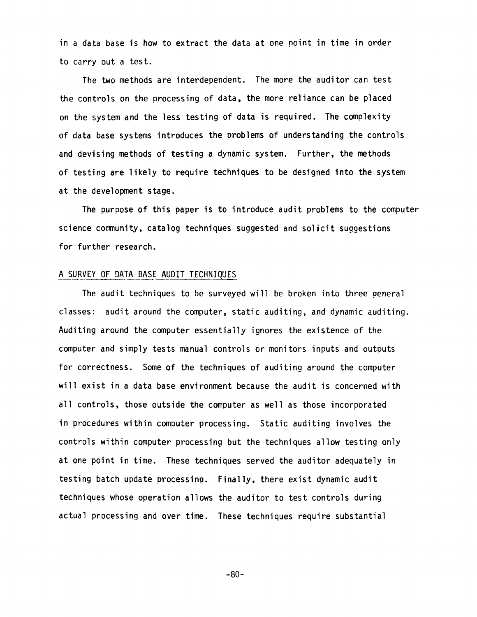in a data base is how to extract the data at one point in time in order to carry out a test.

The two methods are interdependent. The more the auditor can test the controls on the processing of data, the more reliance can be placed on the system and the less testing of data is required. The complexity of data base systems introduces the problems of understanding the controls and devising methods of testing a dynamic system. Further, the methods of testing are likely to require techniques to be designed into the system at the development stage.

The purpose of this paper is to introduce audit problems to the computer science community, catalog techniques suggested and solicit suggestions for further research.

## A SURVEY OF DATA BASE AUDIT TECHNIQUES

The audit techniques to be surveyed will be broken into three general classes: audit around the computer, static auditing, and dynamic auditing. Auditing around the computer essentially ignores the existence of the computer and simply tests manual controls or monitors inputs and outouts for correctness. Some of the techniques of auditing around the computer will exist in a data base environment because the audit is concerned with all controls, those outside the computer as well as those incorporated in procedures within computer processing. Static auditing involves the controls within computer processing but the techniques allow testing only at one point in time. These techniques served the auditor adequately in testing batch update processing. Finally, there exist dynamic audit techniques whose operation allows the auditor to test controls during actual processing and over time. These techniques require substantial

-80-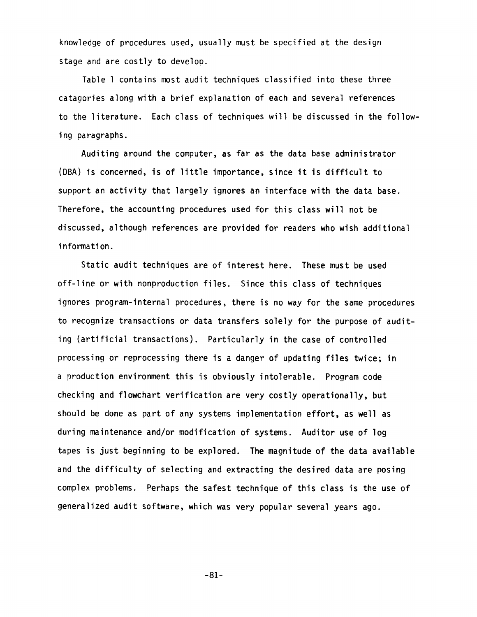knowledge of procedures used, usually must be specified at the design stage and are costly to develop.

Table l contains most audit techniques classified into these three catagories along with a brief explanation of each and several references to the literature. Each class of techniques will be discussed in the following paragraphs.

Auditing around the computer, as far as the data base administrator (DBA) is concerned, is of little importance, since it is difficult to support an activity that largely ignores an interface with the data base. Therefore, the accounting procedures used for this class will not be discussed, although references are provided for readers who wish additional information.

Static audit techniques are of interest here. These must be used off-line or with nonproduction files. Since this class of techniques ignores program-internal procedures, there is no way for the same procedures to recognize transactions or data transfers solely for the purpose of auditing (artificial transactions). Particularly in the case of controlled processing or reprocessing there is a danger of updating files twice; in a production environment this is obviously intolerable. Program code checking and flowchart verification are very costly operationally, but should be done as part of any systems implementation effort, as well as during maintenance and/or modification of systems. Auditor use of log tapes is just beginning to be explored. The magnitude of the data available and the difficulty of selecting and extracting the desired data are posing complex problems. Perhaps the safest technique of this class is the use of generalized audit software, which was very popular several years ago.

-81-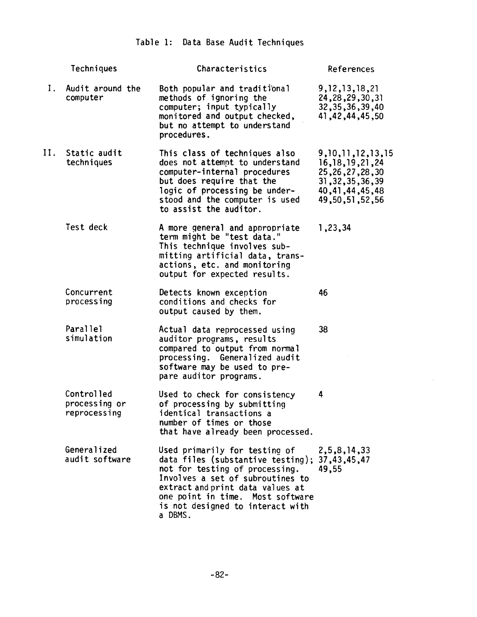# Table 1: Data Base Audit Techniques

|    | Techniques                                  | Characteristics                                                                                                                                                                                                                                                 | References                                                                                                                      |
|----|---------------------------------------------|-----------------------------------------------------------------------------------------------------------------------------------------------------------------------------------------------------------------------------------------------------------------|---------------------------------------------------------------------------------------------------------------------------------|
| Ι. | Audit around the<br>computer                | Both popular and traditional<br>methods of ignoring the<br>computer; input typically<br>monitored and output checked,<br>but no attempt to understand<br>procedures.                                                                                            | 9, 12, 13, 18, 21<br>24, 28, 29, 30, 31<br>32, 35, 36, 39, 40<br>41,42,44,45,50                                                 |
| н. | Static audit<br>techniques                  | This class of techniques also<br>does not attempt to understand<br>computer-internal procedures<br>but does require that the<br>logic of processing be under-<br>stood and the computer is used<br>to assist the auditor.                                       | 9, 10, 11, 12, 13, 15<br>16, 18, 19, 21, 24<br>25, 26, 27, 28, 30<br>31, 32, 35, 36, 39<br>40, 41, 44, 45, 48<br>49,50,51,52,56 |
|    | Test deck                                   | A more general and appropriate<br>term might be "test data."<br>This technique involves sub-<br>mitting artificial data, trans-<br>actions, etc. and monitoring<br>output for expected results.                                                                 | 1,23,34                                                                                                                         |
|    | Concurrent<br>processing                    | Detects known exception<br>conditions and checks for<br>output caused by them.                                                                                                                                                                                  | 46                                                                                                                              |
|    | Parallel<br>simulation                      | Actual data reprocessed using<br>auditor programs, results<br>compared to output from normal<br>processing. Generalized audit<br>software may be used to pre-<br>pare auditor programs.                                                                         | 38                                                                                                                              |
|    | Controlled<br>processing or<br>reprocessing | Used to check for consistency<br>of processing by submitting<br>identical transactions a<br>number of times or those<br>that have already been processed.                                                                                                       | 4                                                                                                                               |
|    | Generalized<br>audit software               | Used primarily for testing of<br>data files (substantive testing);<br>not for testing of processing.<br>Involves a set of subroutines to<br>extract and print data values at<br>one point in time. Most software<br>is not designed to interact with<br>a DBMS. | 2,5,8,14,33<br>37,43,45,47<br>49,55                                                                                             |

 $\sim$   $\sim$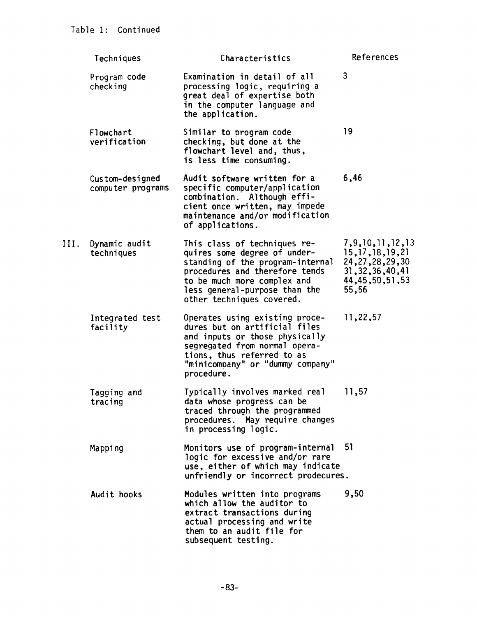|      | Techniques                           | Characteristics                                                                                                                                                                                                                 | <b>References</b>                                                                                                     |
|------|--------------------------------------|---------------------------------------------------------------------------------------------------------------------------------------------------------------------------------------------------------------------------------|-----------------------------------------------------------------------------------------------------------------------|
|      | Program code<br>checking             | Examination in detail of all<br>processing logic, requiring a<br>great deal of expertise both<br>in the computer language and<br>the application.                                                                               | 3                                                                                                                     |
|      | Flowchart<br>verification            | Similar to program code<br>checking, but done at the<br>flowchart level and, thus,<br>is less time consuming.                                                                                                                   | 19                                                                                                                    |
|      | Custom-designed<br>computer programs | Audit software written for a<br>specific computer/application<br>combination. Although effi-<br>cient once written, may impede<br>maintenance and/or modification<br>of applications.                                           | 6,46                                                                                                                  |
| III. | Dynamic audit<br>techniques          | This class of techniques re-<br>quires some degree of under-<br>standing of the program-internal<br>procedures and therefore tends<br>to be much more complex and<br>less general-purpose than the<br>other techniques covered. | 7, 9, 10, 11, 12, 13<br>15, 17, 18, 19, 21<br>24, 27, 28, 29, 30<br>31, 32, 36, 40, 41<br>44, 45, 50, 51, 53<br>55,56 |
|      | Integrated test<br>facility          | Operates using existing proce-<br>dures but on artificial files<br>and inputs or those physically<br>segregated from normal opera-<br>tions, thus referred to as<br>"minicompany" or "dummy company"<br>procedure.              | 11,22,57                                                                                                              |
|      | Tagging and<br>tracing               | Typically involves marked real<br>data whose progress can be<br>traced through the programmed<br>procedures. May require changes<br>in processing logic.                                                                        | 11,57                                                                                                                 |
|      | Mapping                              | Monitors use of program-internal<br>logic for excessive and/or rare<br>use, either of which may indicate<br>unfriendly or incorrect prodecures.                                                                                 | 51                                                                                                                    |
|      | Audit hooks                          | Modules written into programs<br>which allow the auditor to<br>extract transactions during<br>actual processing and write<br>them to an audit file for<br>subsequent testing.                                                   | 9,50                                                                                                                  |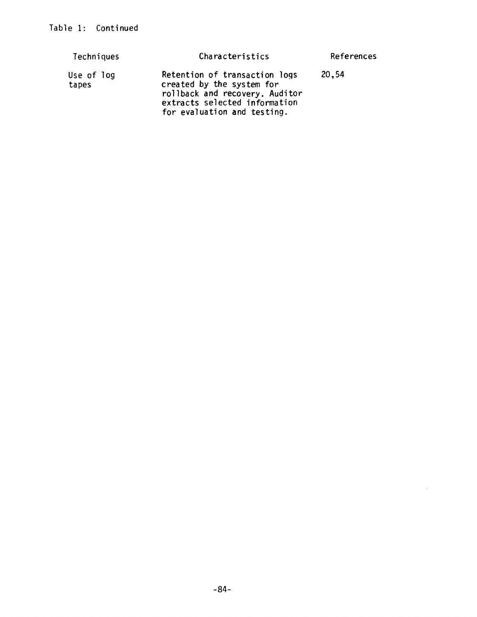| Techniques          | Characteristics                                                                                                                                              | References |
|---------------------|--------------------------------------------------------------------------------------------------------------------------------------------------------------|------------|
| Use of log<br>tapes | Retention of transaction logs<br>created by the system for<br>rollback and recovery. Auditor<br>extracts selected information<br>for evaluation and testing. | 20,54      |

 $\sim$   $\sim$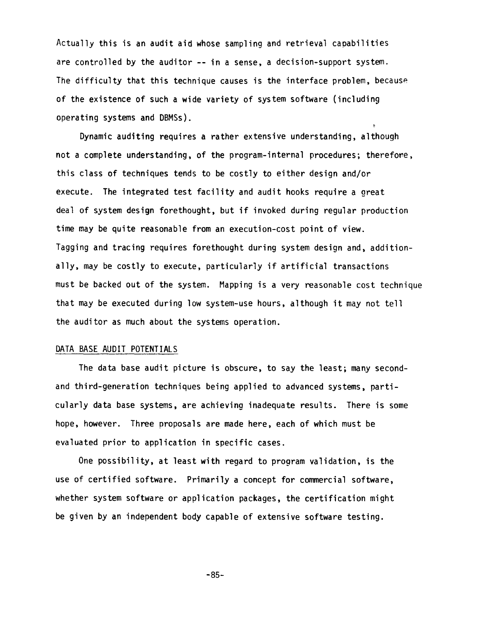Actually this is an audit aid whose sampling and retrieval capabilities are controlled by the auditor -- in a sense, a decision-support system. The difficulty that this technique causes is the interface problem, because of the existence of such a wide variety of system software (including operating systems and DBMSs).

Dynamic auditing requires a rather extensive understanding, although not a complete understanding, of the program-internal procedures; therefore, this class of techniques tends to be costly to either design and/or execute. The integrated test facility and audit hooks require a great deal of system design forethought, but if invoked during regular production time may be quite reasonable from an execution-cost point of view. Tagging and tracing requires forethought during system design and, additionally, may be costly to execute, particularly if artificial transactions must be backed out of the system. Mapping is a very reasonable cost technique that may be executed during low system-use hours, although it may not tell the auditor as much about the systems operation.

## DATA BASE AUDIT POTENTIALS

The data base audit picture is obscure, to say the least; many secondand third-generation techniques being applied to advanced systems, particularly data base systems, are achieving inadequate results. There is some hope, however. Three proposals are made here, each of which must be evaluated prior to application in specific cases.

One possibility, at least with regard to program validation, is the use of certified software. Primarily a concept for commercial software, whether system software or application packages, the certification might be given by an independent body capable of extensive software testing.

-85-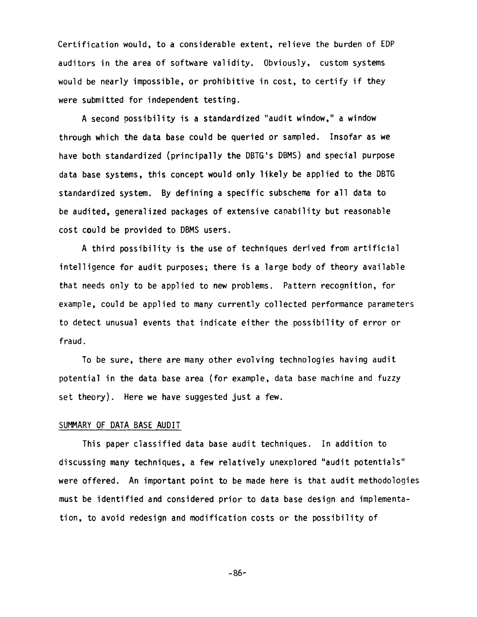Certification would, to a considerable extent, relieve the burden of EDP auditors in the area of software validity. Obviously, custom systems would be nearly impossible, or prohibitive in cost, to certify if they were submitted for independent testing.

A second possibility is a standardized "audit window," a window through which the data base could be queried or sampled. Insofar as we have both standardized (principally the DBTG's DBMS) and special purpose data base systems, this concept would only likely be applied to the DBTG standardized system. By defining a specific subschema for all data to be audited, generalized packages of extensive capability but reasonable cost could be provided to DBMS users.

A third possibility is the use of techniques derived from artificial intelligence for audit purposes; there is a large body of theory available that needs only to be applied to new problems. Pattern recognition, for example, could be applied to many currently collected performance parameters to detect unusual events that indicate either the possibility of error or fraud.

To be sure, there are many other evolving technologies having audit potential in the data base area (for example, data base machine and fuzzy set theory). Here we have suggested just a few.

## SUMMARY OF DATA BASE AUDIT

This paper classified data base audit techniques. In addition to discussing many techniques, a few relatively unexplored "audit potentials" were offered. An important point to be made here is that audit methodologies must be identified and considered prior to data base design and implementation, to avoid redesign and modification costs or the possibility of

-86-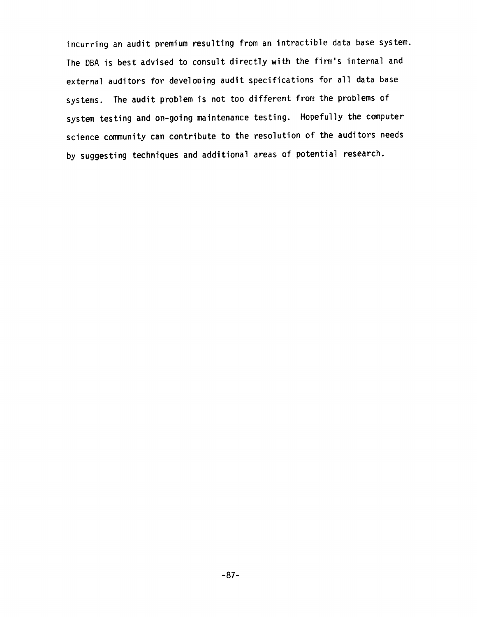incurring an audit premium resulting from an intractible data base system. The DBA is best advised to consult directly with the firm's internal and external auditors for developing audit specifications for all data base systems. The audit problem is not too different from the problems of system testing and on-going maintenance testing. Hopefully the computer science community can contribute to the resolution of the auditors needs by suggesting techniques and additional areas of potential research.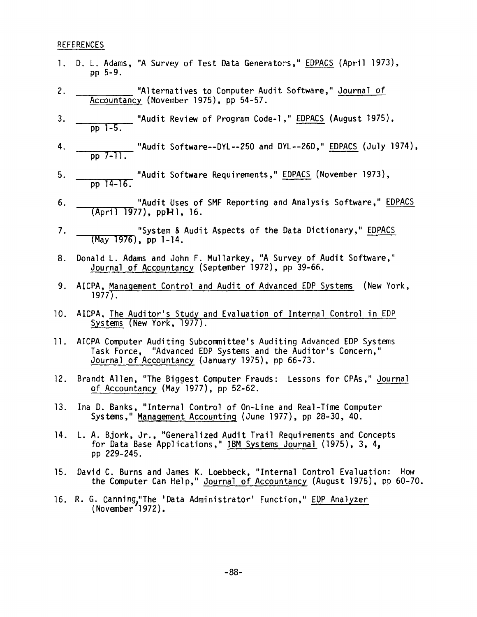## REFERENCES

- I. D. L. Adams, "A Survey of Test Data Generators," EDPACS (April 1973), pp 5-9.
- 2. "Alternatives to Computer Audit Software," Journal of Accountancy (November 1975), pp 54-57.
- 3. "Audit Review of Program Code-l," EDPACS (August 1975), pp I-5.
- 4. "Audit Software--DYL--250 and DYL--260," EDPACS (July 1974), pp 7-1l.
- . \_\_\_\_\_\_\_\_\_\_\_\_\_ "Audit Software Requirements," <u>EDPACS</u> (November 1973), pp 14-16.
- . "Audit Uses of SMF Reporting and Analysis Software," EDPACS  $(Apri1 1977)$ , pp $H1$ , 16.
- . "System & Audit Aspects of the Data Dictionary," EDPACS (May 1976), pp 1-14.
- 8. Donald L. Adams and John F. Mullarkey, "A Survey of Audit Software," Journal of Accountancy (September 1972), pp 39-66.
- $9.$ AICPA, Management Control and Audit of Advanced EDP Systems (New York,  $1977$ .
- lO. AICPA, The Auditor's Study and Evaluation of Internal Control in EDP Systems (New York, 1977).
- II. AICPA Computer Auditing Subcommittee's Auditing Advanced EDP Systems Task Force, "Advanced EDP Systems and the Auditor's Concern," Journal of Accountancy (January 1975), pp 66-73.
- 12. Brandt Allen, "The Biggest Computer Frauds: Lessons for CPAs," Journal of Accountancy (May 1977), pp 52-62.
- 13. Ina D. Banks, "Internal Control of On-Line and Real-Time Computer Systems," Management Accounting (June 1977), pp 28-30, 40.
- 14. L. A. Bjork, Jr., "Generalized Audit Trail Requirements and Concepts for Data Base Applications," IBM Systems Journal (1975), 3, 4, pp 229-245.
- 15. David C. Burns and James K. Loebbeck, "Internal Control Evaluation: How the Computer Can Help," Journal of Accountancy (August 1975), pp 60-70.
- 16. R. G. Canning,"The 'Data Administrator' Function," EDP Analyzer (November 1972).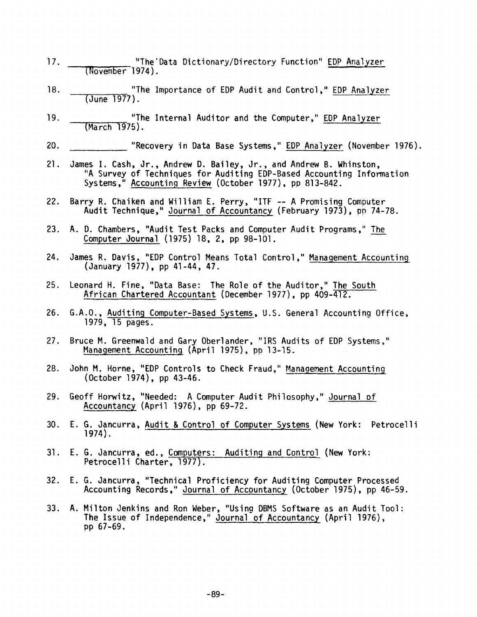- $17.$ "The 'Data Dictionary/Directory Function" EDP Analyzer (November 1974).
- 18. "The Importance of EDP Audit and Control," EDP Analyzer (June 1977).
- 19. "The Internal Auditor and the Computer," EDP Analyzer (March" 1975).
- 20. "Recovery in Data Base Systems," EDP Analyzer (November 1976).
- 21. James I. Cash, Jr., Andrew D. Bailey, Jr., and Andrew B. Whinston, "A Survey of Techniques for Auditing EDP-Based Accounting Information Systems," Accounting Review (October 1977), pp 813-842.
- 22. Barry R. Chaiken and William E. Perry, "ITF -- A Promising Computer Audit Technique," <u>Journal of Accountancy</u> (February 1973), pp 74-78.
- 23. A. D. Chambers, "Audit Test Packs and Computer Audit Programs," The Computer Journal (1975) 18, 2, pp 98-I01.
- 24 James R. Davis, "EDP Control Means Total Control," Management Accounting (January 1977), pp 41-44, 47.
- 25 Leonard H. Fine, "Data Base: The Role of the Auditor," The South African Chartered Accountant (December 1977), pp 409-412.
- 26 G.A.O., Auditing Computer-Based Systems, U.S. General Accounting Office, 1979, 15 pages.
- $27.$ Bruce M. Greenwald and Gary Oberlander, "IRS Audits of EDP Systems," Management Accounting (April 1975), pp 13-15.
- 28 John M. Horne, "EDP Controls to Check Fraud," Management Accounting (October 1974), pp 43-46.
- 29 Geoff Horwitz, "Needed: A Computer Audit Philosophy," Journal of Accountancy (April 1976), pp 69-72.
- 30 E. G. Jancurra, Audit & Control of Computer Systems (New York: Petrocelli 1974).
- 31 E. G. Jancurra, ed., Computers: Auditing and Control (New York: Petrocelli Charter, 1977).
- 32 E. G. Jancurra, "Technical Proficiency for Auditing Computer Processed Accounting Records," Journal of Accountancy (October 1975), pp 46-59.
- 33 A. Milton Jenkins and Ron Weber, "Using DBMS Software as an Audit Tool: The Issue of Independence," Journal of Accountancy (April 1976), pp 67-69.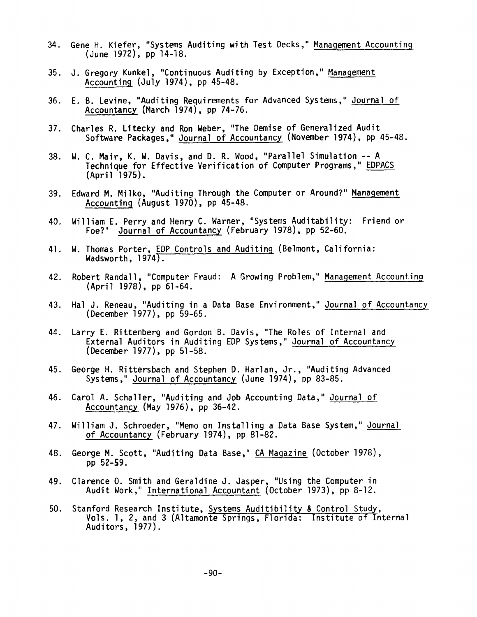- 34. Gene H. Kiefer, "Systems Auditing with Test Decks," Management Accounting (June 1972), pp 14-18.
- 35. J. Gregory Kunkel, "Continuous Auditing by Exception," Management Accountin9 (July 1974), pp 45-48.
- 36. E. B. Levine, "Auditing Requirements for Advanced Systems," Journal of Accountancy (March 1974), pp 74-76.
- 37. Charles R. Litecky and Ron Weber, "The Demise of Generalized Audit Software Packages," Journal of Accountancy (November 1974), pp 45-48.
- 38. W. C. Mair, K. W. Davis, and D. R. Wood, "Parallel Simulation -- A Technique for Effective Verification of Computer Programs," EDPACS (April 1975).
- 39. Edward M. Milko, "Auditing Through the Computer or Around?" Management Accounting (August 1970), pp  $45-48$ .
- 40. William E. Perry and Henry C. Warner, "Systems Auditability: Friend or Foe?" Journal of Accountancy (February 1978), pp 52-60.
- 41. W. Thomas Porter, EDP Controls and Auditing (Belmont, California: Wadsworth, 1974).
- 42. Robert Randall, "Computer Fraud: A Growing Problem," Management Accounting (April 1978), pp 61-64.
- 43. Hal J. Reneau, "Auditing in a Data Base Environment," Journal of Accountancy (December 1977), pp 59-65.
- 44. Larry E. Rittenberg and Gordon B. Davis, "The Roles of Internal and External Auditors in Auditing EDP Systems," Journal of Accountancy (December 1977), pp 51-58.
- 45. George H. Rittersbach and Stephen D. Harlan, Jr., "Auditing Advanced Systems," Journal of Accountancy (June 1974), pp 83-85.
- 46. Carol A. Schaller, "Auditing and Job Accounting Data," Journal of Accountancy (May 1976), pp 36-42.
- 47. William J. Schroeder, "Memo on Installing a Data Base System," Journal of Accountancy (February 1974), pp 81-82.
- 48. George M. Scott, "Auditing Data Base," CA Magazine (October 1978), pp 52-\$9.
- 49. Clarence O. Smith and Geraldine J. Jasper, "Using the Computer in Audit Work," International Accountant (October 1973), pp 8-12.
- 50. Stanford Research Institute, Systems Auditibility & Control Study, Vols. I, 2, and 3 (Altamonte Springs, Florida: Institute of Internal Auditors, 1977).